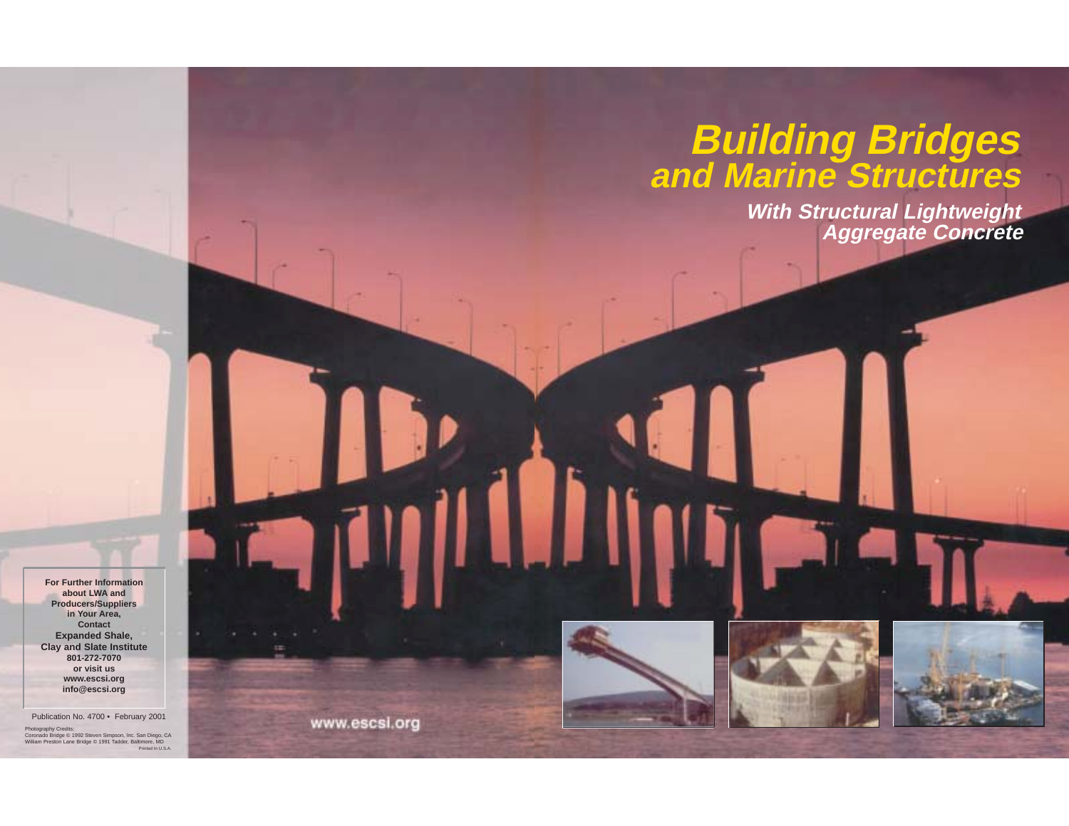# **Building Bridges and Marine Structures**

**With Structural Lightweight Aggregate Concrete**

**For Further Informationabout LWA and Producers/Suppliers in Your Area, Contact Expanded Shale, Clay and Slate Institute 801-272-7070 or visit us www.escsi.org info@escsi.org**

Publication No. 4700 • February 2001 Photography Credits: Coronado Bridge © 1992 Steven Simpson, Inc. San Diego, CA William Preston Lane Bridge © 1991 Tadder, Baltimore, MD Printed In U.S.A.

www.escsi.org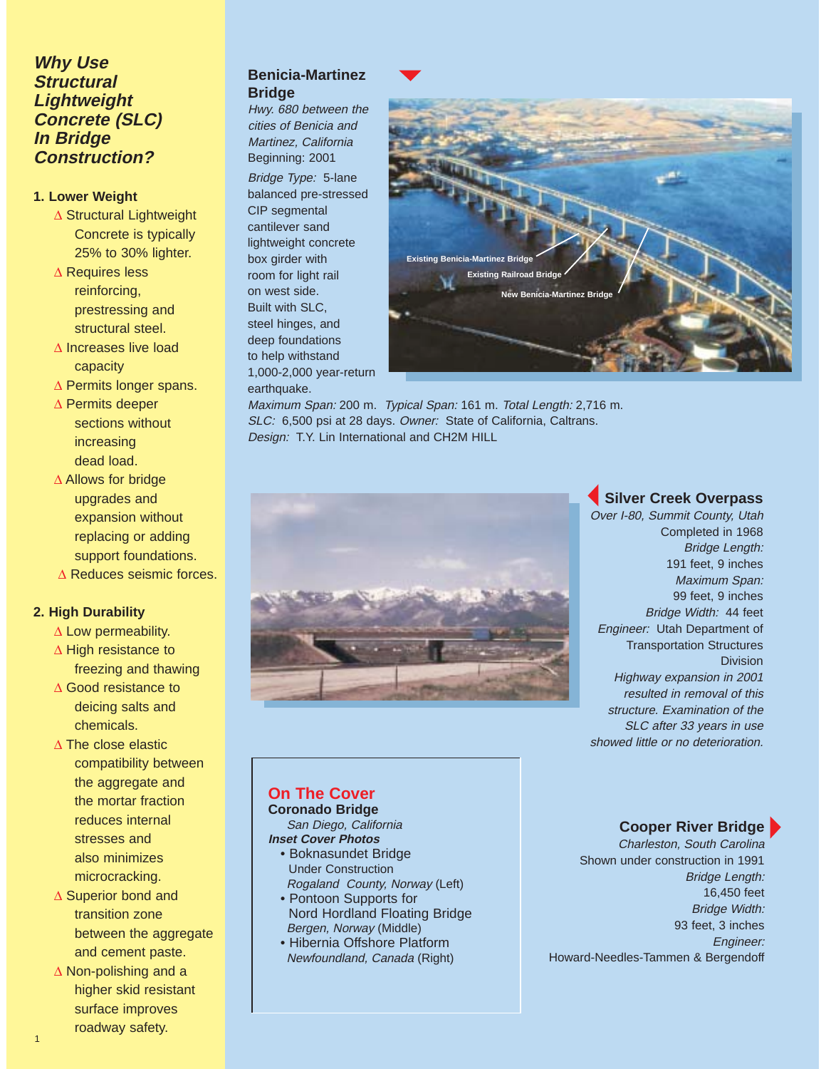# **Why Use Structural Lightweight Concrete (SLC) In Bridge Construction?**

#### **1. Lower Weight**

- ∆ Structural Lightweight Concrete is typically 25% to 30% lighter.
- ∆ Requires less reinforcing, prestressing and structural steel.
- ∆ Increases live load capacity
- ∆ Permits longer spans.
- ∆ Permits deeper sections without increasing dead load.
- ∆ Allows for bridge upgrades and expansion without replacing or adding support foundations.
- ∆ Reduces seismic forces.

#### **2. High Durability**

- ∆ Low permeability.
- ∆ High resistance to freezing and thawing
- ∆ Good resistance to deicing salts and chemicals.
- ∆ The close elastic compatibility between the aggregate and the mortar fraction reduces internal stresses and also minimizes microcracking.
- ∆ Superior bond and transition zone between the aggregate and cement paste.
- ∆ Non-polishing and a higher skid resistant surface improves roadway safety.

1

# **Benicia-Martinez Bridge**

Hwy. 680 between the cities of Benicia and Martinez, California Beginning: 2001 Bridge Type: 5-lane balanced pre-stressed CIP segmental cantilever sand lightweight concrete box girder with room for light rail on west side. Built with SLC, steel hinges, and deep foundations to help withstand 1,000-2,000 year-return earthquake.



Maximum Span: 200 m. Typical Span: 161 m. Total Length: 2,716 m. SLC: 6,500 psi at 28 days. Owner: State of California, Caltrans. Design: T.Y. Lin International and CH2M HILL



# **Silver Creek Overpass**

Over I-80, Summit County, Utah Completed in 1968 Bridge Length: 191 feet, 9 inches Maximum Span: 99 feet, 9 inches Bridge Width: 44 feet Engineer: Utah Department of Transportation Structures Division Highway expansion in 2001 resulted in removal of this structure. Examination of the SLC after 33 years in use showed little or no deterioration.

#### **On The Cover Coronado Bridge**

San Diego, California **Inset Cover Photos**

- Boknasundet Bridge Under Construction Rogaland County, Norway (Left)
- Pontoon Supports for Nord Hordland Floating Bridge Bergen, Norway (Middle)
- Hibernia Offshore Platform Newfoundland, Canada (Right)

# **Cooper River Bridge**

Charleston, South Carolina Shown under construction in 1991 Bridge Length: 16,450 feet Bridge Width: 93 feet, 3 inches Engineer: Howard-Needles-Tammen & Bergendoff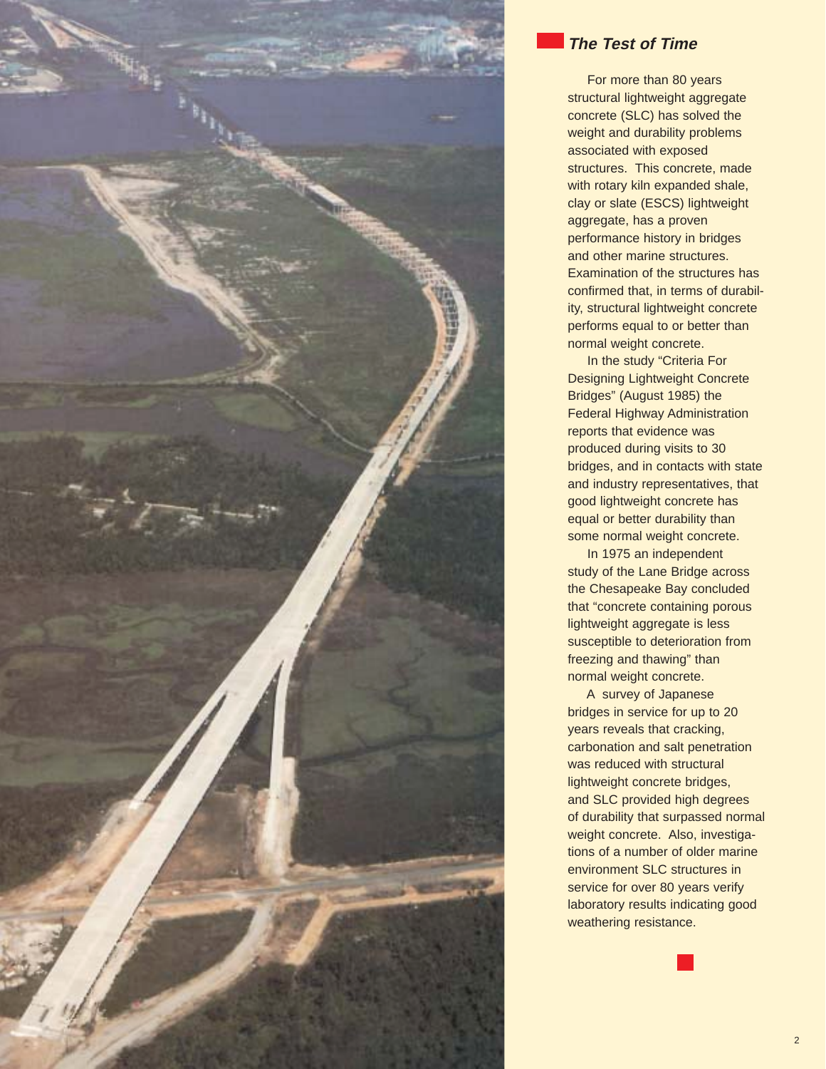

# **The Test of Time**

For more than 80 years structural lightweight aggregate concrete (SLC) has solved the weight and durability problems associated with exposed structures. This concrete, made with rotary kiln expanded shale, clay or slate (ESCS) lightweight aggregate, has a proven performance history in bridges and other marine structures. Examination of the structures has confirmed that, in terms of durability, structural lightweight concrete performs equal to or better than normal weight concrete.

In the study "Criteria For Designing Lightweight Concrete Bridges" (August 1985) the Federal Highway Administration reports that evidence was produced during visits to 30 bridges, and in contacts with state and industry representatives, that good lightweight concrete has equal or better durability than some normal weight concrete.

In 1975 an independent study of the Lane Bridge across the Chesapeake Bay concluded that "concrete containing porous lightweight aggregate is less susceptible to deterioration from freezing and thawing" than normal weight concrete.

A survey of Japanese bridges in service for up to 20 years reveals that cracking, carbonation and salt penetration was reduced with structural lightweight concrete bridges, and SLC provided high degrees of durability that surpassed normal weight concrete. Also, investigations of a number of older marine environment SLC structures in service for over 80 years verify laboratory results indicating good weathering resistance.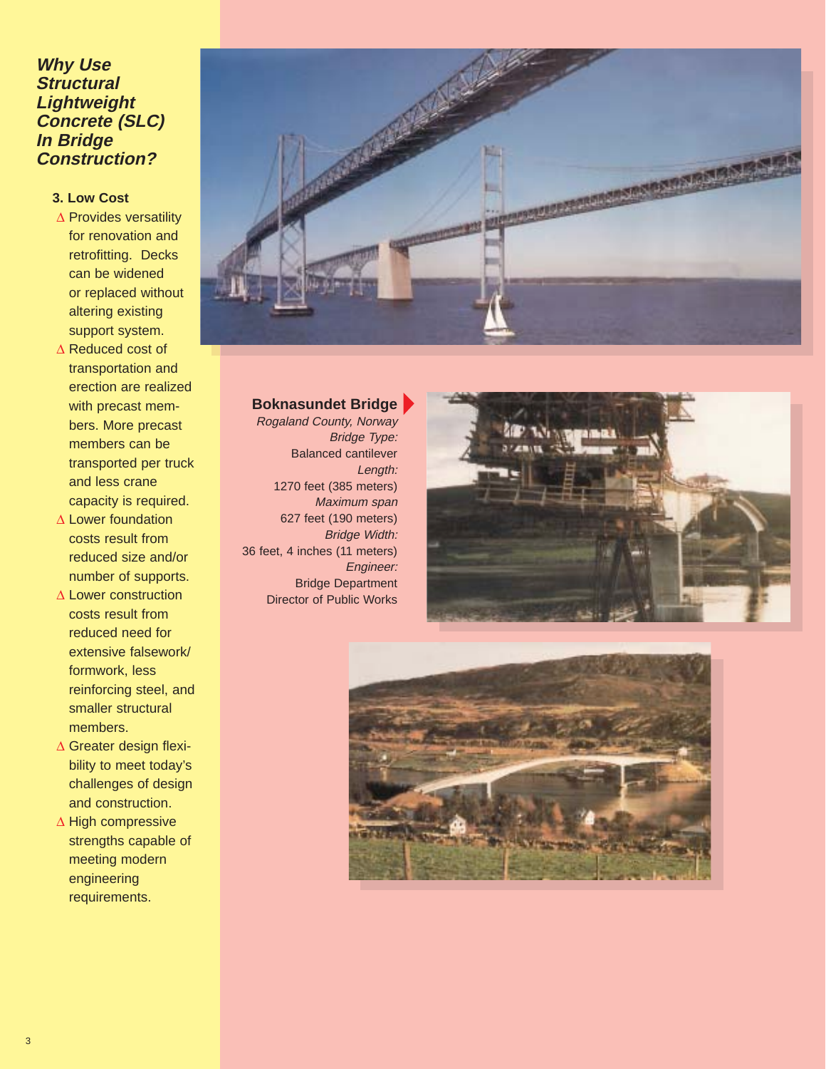# **Why Use Structural Lightweight Concrete (SLC) In Bridge Construction?**

#### **3. Low Cost**

- ∆ Provides versatility for renovation and retrofitting. Decks can be widened or replaced without altering existing support system.
- ∆ Reduced cost of transportation and erection are realized with precast members. More precast members can be transported per truck and less crane capacity is required.
- ∆ Lower foundation costs result from reduced size and/or number of supports.
- ∆ Lower construction costs result from reduced need for extensive falsework/ formwork, less reinforcing steel, and smaller structural members.
- ∆ Greater design flexibility to meet today's challenges of design and construction.
- ∆ High compressive strengths capable of meeting modern engineering requirements.



#### **Boknasundet Bridge**

Rogaland County, Norway Bridge Type: Balanced cantilever Length: 1270 feet (385 meters) Maximum span 627 feet (190 meters) Bridge Width: 36 feet, 4 inches (11 meters) Engineer: Bridge Department Director of Public Works



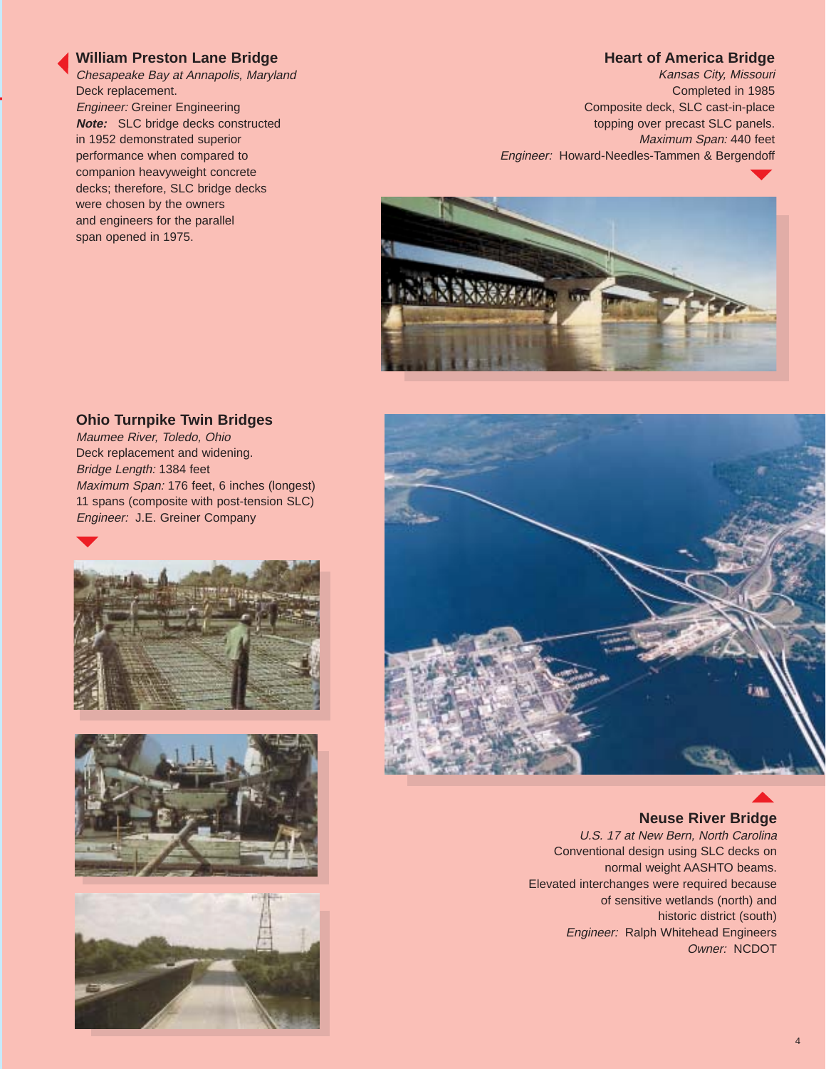#### **William Preston Lane Bridge**

Chesapeake Bay at Annapolis, Maryland Deck replacement. Engineer: Greiner Engineering **Note:** SLC bridge decks constructed in 1952 demonstrated superior performance when compared to companion heavyweight concrete decks; therefore, SLC bridge decks were chosen by the owners and engineers for the parallel span opened in 1975.

#### **Heart of America Bridge**

Kansas City, Missouri Completed in 1985 Composite deck, SLC cast-in-place topping over precast SLC panels. Maximum Span: 440 feet Engineer: Howard-Needles-Tammen & Bergendoff



#### **Ohio Turnpike Twin Bridges**

Maumee River, Toledo, Ohio Deck replacement and widening. Bridge Length: 1384 feet Maximum Span: 176 feet, 6 inches (longest) 11 spans (composite with post-tension SLC) Engineer: J.E. Greiner Company









#### **Neuse River Bridge**

U.S. 17 at New Bern, North Carolina Conventional design using SLC decks on normal weight AASHTO beams. Elevated interchanges were required because of sensitive wetlands (north) and historic district (south) Engineer: Ralph Whitehead Engineers Owner: NCDOT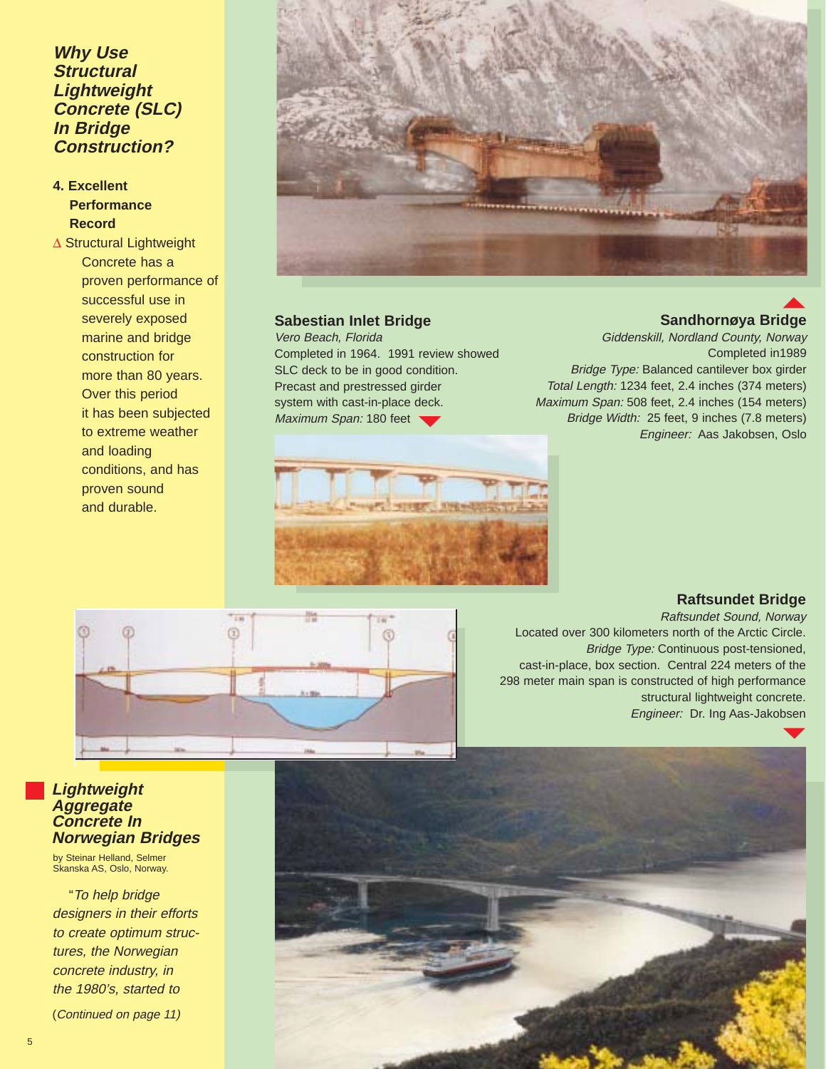# **Why Use Structural Lightweight Concrete (SLC) In Bridge Construction?**

# **4. Excellent Performance Record**

∆ Structural Lightweight Concrete has a proven performance of successful use in severely exposed marine and bridge construction for more than 80 years. Over this period it has been subjected to extreme weather and loading conditions, and has proven sound and durable.



#### **Sabestian Inlet Bridge**

Vero Beach, Florida Completed in 1964. 1991 review showed SLC deck to be in good condition. Precast and prestressed girder system with cast-in-place deck. Maximum Span: 180 feet

#### Giddenskill, Nordland County, Norway Completed in1989 Bridge Type: Balanced cantilever box girder

**Sandhornøya Bridge**

Total Length: 1234 feet, 2.4 inches (374 meters) Maximum Span: 508 feet, 2.4 inches (154 meters) Bridge Width: 25 feet, 9 inches (7.8 meters) Engineer: Aas Jakobsen, Oslo



#### **Raftsundet Bridge**

Raftsundet Sound, Norway Located over 300 kilometers north of the Arctic Circle. Bridge Type: Continuous post-tensioned, cast-in-place, box section. Central 224 meters of the 298 meter main span is constructed of high performance structural lightweight concrete. Engineer: Dr. Ing Aas-Jakobsen

#### **Lightweight Aggregate Concrete In Norwegian Bridges**

by Steinar Helland, Selmer Skanska AS, Oslo, Norway.

"To help bridge designers in their efforts to create optimum structures, the Norwegian concrete industry, in the 1980's, started to

(Continued on page 11)

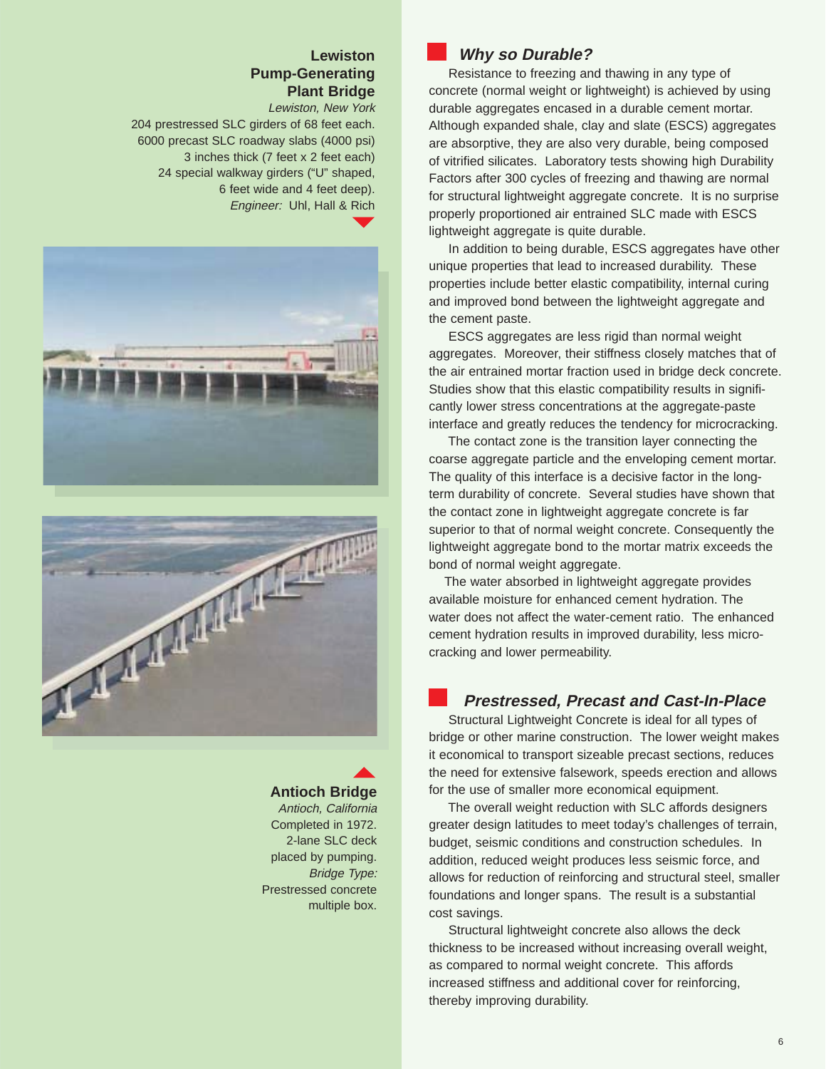# **Lewiston Pump-Generating Plant Bridge**

Lewiston, New York 204 prestressed SLC girders of 68 feet each. 6000 precast SLC roadway slabs (4000 psi) 3 inches thick (7 feet x 2 feet each) 24 special walkway girders ("U" shaped, 6 feet wide and 4 feet deep). Engineer: Uhl, Hall & Rich





# **Antioch Bridge**

Antioch, California Completed in 1972. 2-lane SLC deck placed by pumping. Bridge Type: Prestressed concrete multiple box.

# **Why so Durable?**

Resistance to freezing and thawing in any type of concrete (normal weight or lightweight) is achieved by using durable aggregates encased in a durable cement mortar. Although expanded shale, clay and slate (ESCS) aggregates are absorptive, they are also very durable, being composed of vitrified silicates. Laboratory tests showing high Durability Factors after 300 cycles of freezing and thawing are normal for structural lightweight aggregate concrete. It is no surprise properly proportioned air entrained SLC made with ESCS lightweight aggregate is quite durable.

In addition to being durable, ESCS aggregates have other unique properties that lead to increased durability. These properties include better elastic compatibility, internal curing and improved bond between the lightweight aggregate and the cement paste.

ESCS aggregates are less rigid than normal weight aggregates. Moreover, their stiffness closely matches that of the air entrained mortar fraction used in bridge deck concrete. Studies show that this elastic compatibility results in significantly lower stress concentrations at the aggregate-paste interface and greatly reduces the tendency for microcracking.

The contact zone is the transition layer connecting the coarse aggregate particle and the enveloping cement mortar. The quality of this interface is a decisive factor in the longterm durability of concrete. Several studies have shown that the contact zone in lightweight aggregate concrete is far superior to that of normal weight concrete. Consequently the lightweight aggregate bond to the mortar matrix exceeds the bond of normal weight aggregate.

The water absorbed in lightweight aggregate provides available moisture for enhanced cement hydration. The water does not affect the water-cement ratio. The enhanced cement hydration results in improved durability, less microcracking and lower permeability.

#### **Prestressed, Precast and Cast-In-Place**

Structural Lightweight Concrete is ideal for all types of bridge or other marine construction. The lower weight makes it economical to transport sizeable precast sections, reduces the need for extensive falsework, speeds erection and allows for the use of smaller more economical equipment.

The overall weight reduction with SLC affords designers greater design latitudes to meet today's challenges of terrain, budget, seismic conditions and construction schedules. In addition, reduced weight produces less seismic force, and allows for reduction of reinforcing and structural steel, smaller foundations and longer spans. The result is a substantial cost savings.

Structural lightweight concrete also allows the deck thickness to be increased without increasing overall weight, as compared to normal weight concrete. This affords increased stiffness and additional cover for reinforcing, thereby improving durability.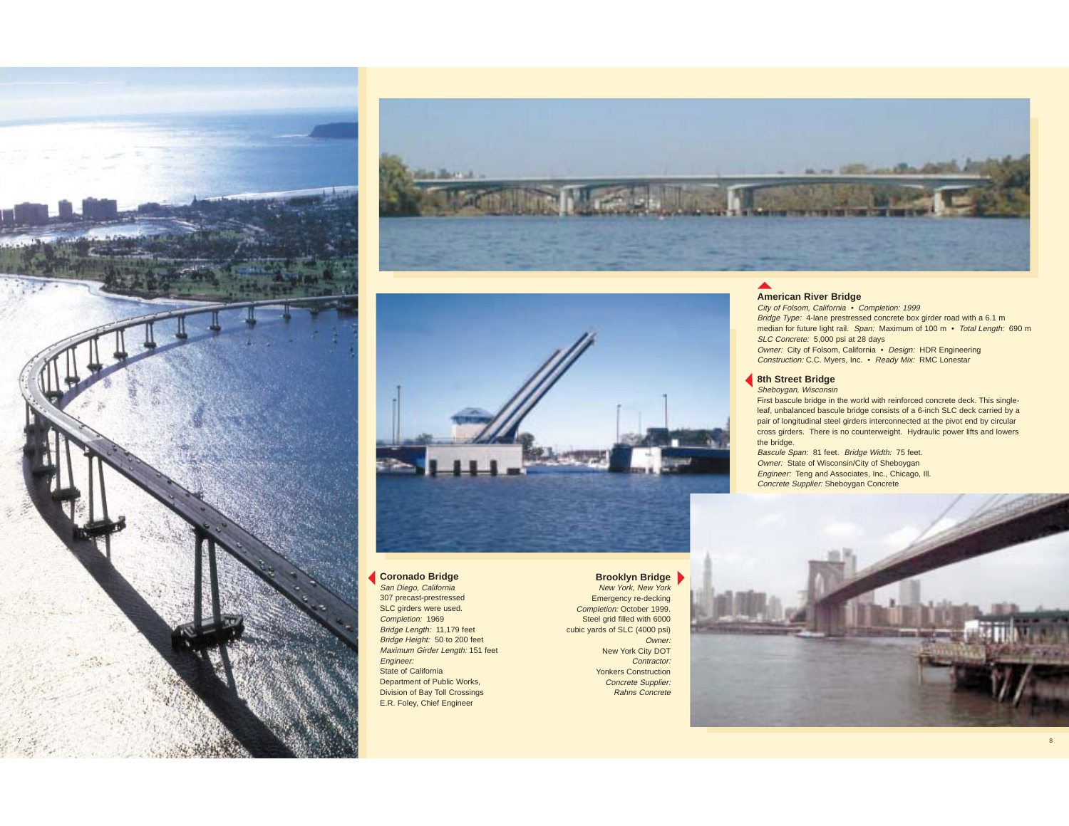





#### **Coronado Bridge**

San Diego, California 307 precast-prestressed SLC girders were used. Completion: 1969 Bridge Length: 11,179 feet Bridge Height: 50 to 200 feet Maximum Girder Length: 151 feet Engineer: State of California Department of Public Works, Division of Bay Toll Crossings E.R. Foley, Chief Engineer

#### **Brooklyn Bridge** New York, New York Emergency re-decking Completion: October 1999. Steel grid filled with 6000 cubic yards of SLC (4000 psi) Owner: New York City DOT Contractor:

 Yonkers Construction Concrete Supplier: Rahns Concrete

#### **American River Bridge**

City of Folsom, California • Completion: 1999 Bridge Type: 4-lane prestressed concrete box girder road with a 6.1 m median for future light rail. Span: Maximum of 100 m · Total Length: 690 m SLC Concrete: 5,000 psi at 28 days Owner: City of Folsom, California • Design: HDR Engineering Construction: C.C. Myers, Inc. • Ready Mix: RMC Lonestar

#### **8th Street Bridge**

Sheboygan, Wisconsin

First bascule bridge in the world with reinforced concrete deck. This singleleaf, unbalanced bascule bridge consists of a 6-inch SLC deck carried by a pair of longitudinal steel girders interconnected at the pivot end by circular cross girders. There is no counterweight. Hydraulic power lifts and lowers the bridge.

Bascule Span: 81 feet. Bridge Width: 75 feet. Owner: State of Wisconsin/City of Sheboygan Engineer: Teng and Associates, Inc., Chicago, Ill. Concrete Supplier: Sheboygan Concrete

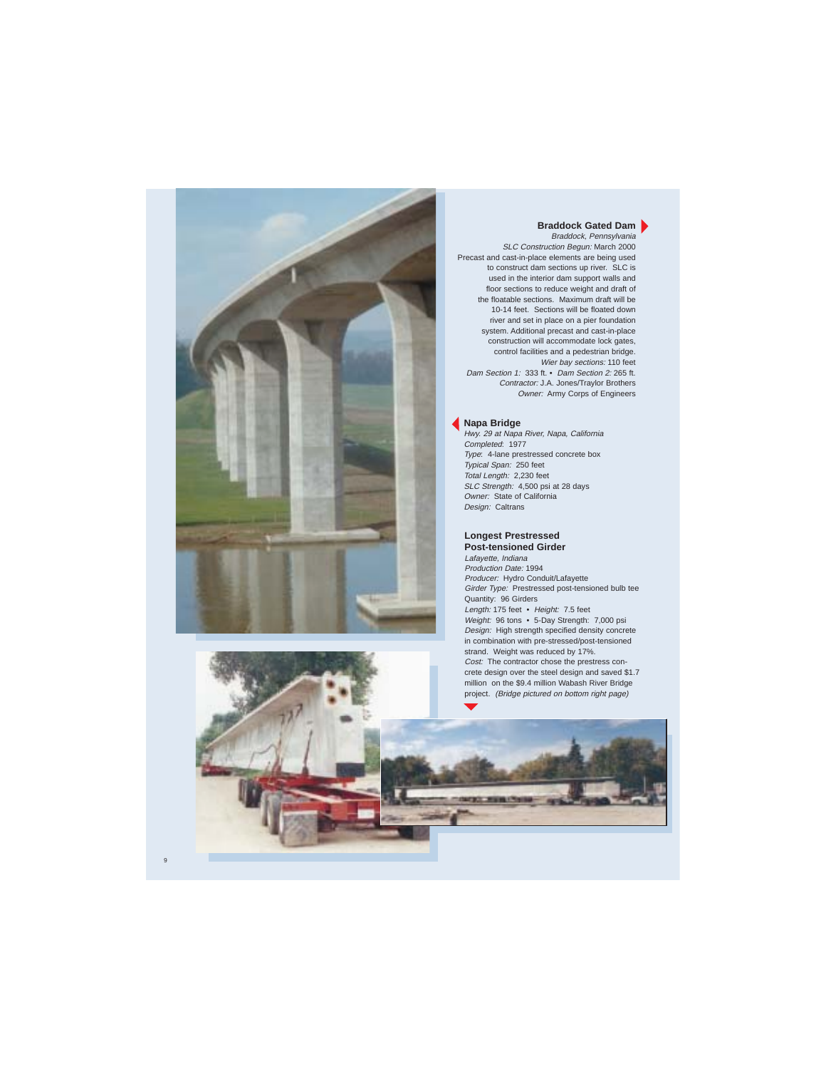

#### **Braddock Gated Dam**

Braddock, Pennsylvania SLC Construction Begun: March 2000 Precast and cast-in-place elements are being used to construct dam sections up river. SLC is used in the interior dam support walls and floor sections to reduce weight and draft of the floatable sections. Maximum draft will be 10-14 feet. Sections will be floated down river and set in place on a pier foundation system. Additional precast and cast-in-place construction will accommodate lock gates, control facilities and a pedestrian bridge. Wier bay sections: 110 feet Dam Section 1: 333 ft. • Dam Section 2: 265 ft. Contractor: J.A. Jones/Traylor Brothers Owner: Army Corps of Engineers

#### **Napa Bridge**

Hwy. 29 at Napa River, Napa, California Completed: 1977 Type: 4-lane prestressed concrete box Typical Span: 250 feet Total Length: 2,230 feet SLC Strength: 4,500 psi at 28 days Owner: State of California Design: Caltrans

#### **Longest Prestressed Post-tensioned Girder**

Lafayette, Indiana Production Date: 1994 Producer: Hydro Conduit/Lafayette Girder Type: Prestressed post-tensioned bulb tee Quantity: 96 Girders Length: 175 feet • Height: 7.5 feet Weight: 96 tons • 5-Day Strength: 7,000 psi Design: High strength specified density concrete in combination with pre-stressed/post-tensioned strand. Weight was reduced by 17%. Cost: The contractor chose the prestress concrete design over the steel design and saved \$1.7 million on the \$9.4 million Wabash River Bridge project. (Bridge pictured on bottom right page)

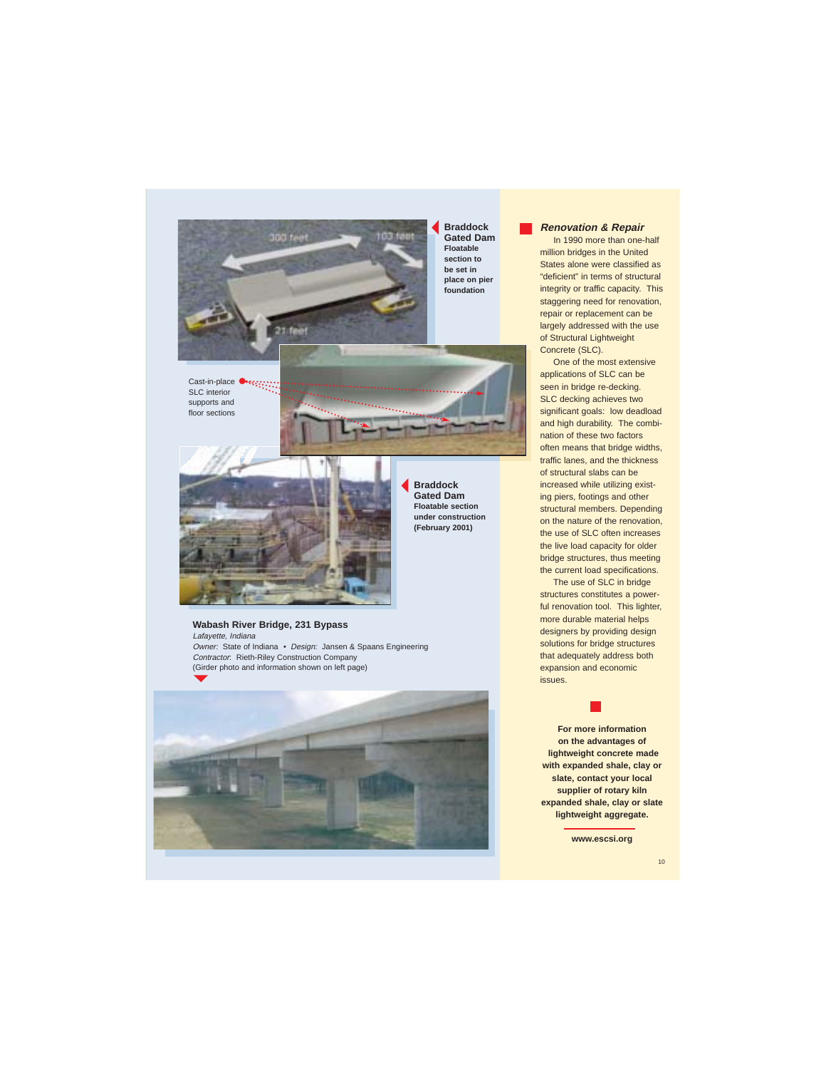

**Braddock Gated Dam Floatable section to be set in place on pier foundation**



#### **Renovation & Repair**

In 1990 more than one-half million bridges in the United States alone were classified as "deficient" in terms of structural integrity or traffic capacity. This staggering need for renovation. repair or replacement can be largely addressed with the use of Structural Lightweight Concrete (SLC).

One of the most extensive applications of SLC can be seen in bridge re-decking. SLC decking achieves two significant goals: low deadload and high durability. The combination of these two factors often means that bridge widths, traffic lanes, and the thickness of structural slabs can be increased while utilizing existing piers, footings and other structural members. Depending on the nature of the renovation, the use of SLC often increases the live load capacity for older bridge structures, thus meeting the current load specifications.

The use of SLC in bridge structures constitutes a powerful renovation tool. This lighter, more durable material helps designers by providing design solutions for bridge structures that adequately address both expansion and economic issues.

**For more information on the advantages of lightweight concrete made with expanded shale, clay or slate, contact your local supplier of rotary kiln expanded shale, clay or slate lightweight aggregate.**

**www.escsi.org**

Cast-in-place **Owner:** SLC interior supports and floor sections





**Braddock Gated Dam Floatable section under construction (February 2001)**

#### **Wabash River Bridge, 231 Bypass**

Lafayette, Indiana Owner: State of Indiana • Design: Jansen & Spaans Engineering Contractor: Rieth-Riley Construction Company (Girder photo and information shown on left page)

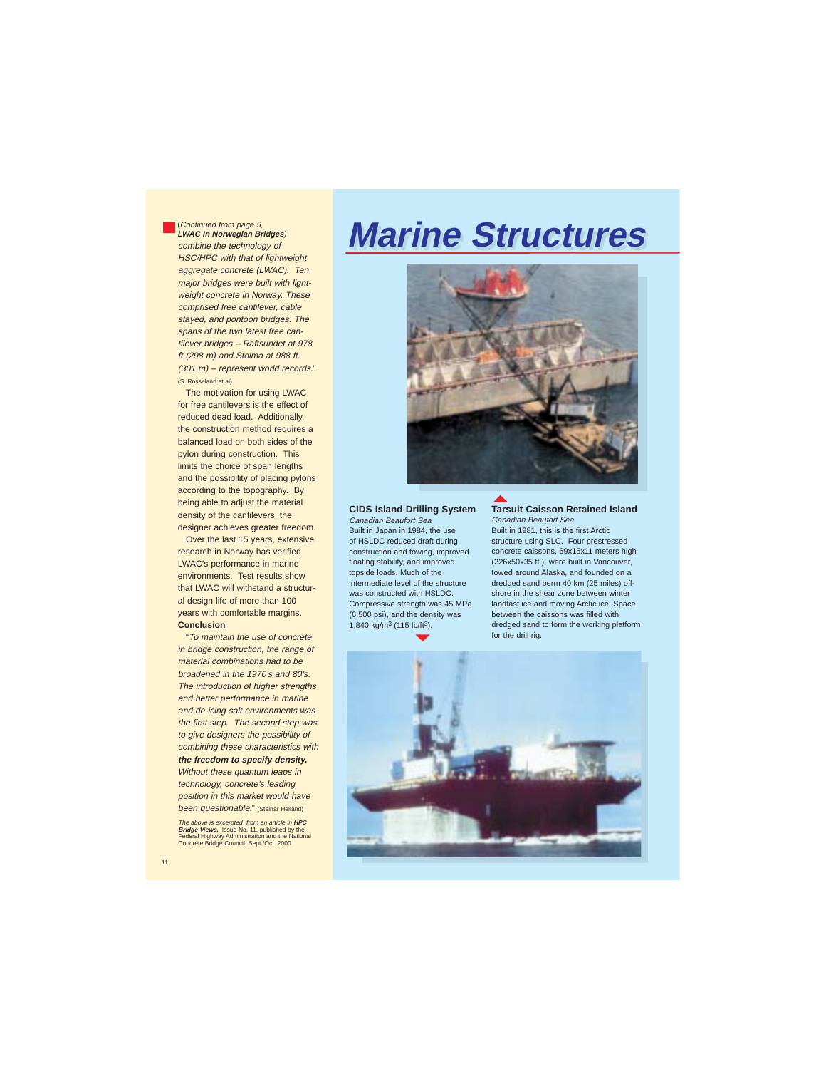#### (Continued from page 5, **LWAC In Norwegian Bridges**)

combine the technology of HSC/HPC with that of lightweight aggregate concrete (LWAC). Ten major bridges were built with lightweight concrete in Norway. These comprised free cantilever, cable stayed, and pontoon bridges. The spans of the two latest free cantilever bridges – Raftsundet at 978 ft (298 m) and Stolma at 988 ft. (301 m) – represent world records." (S. Rosseland et al)

The motivation for using LWAC for free cantilevers is the effect of reduced dead load. Additionally, the construction method requires a balanced load on both sides of the pylon during construction. This limits the choice of span lengths and the possibility of placing pylons according to the topography. By being able to adjust the material density of the cantilevers, the designer achieves greater freedom.

Over the last 15 years, extensive research in Norway has verified LWAC's performance in marine environments. Test results show that LWAC will withstand a structural design life of more than 100 years with comfortable margins. **Conclusion**

"To maintain the use of concrete in bridge construction, the range of material combinations had to be broadened in the 1970's and 80's. The introduction of higher strengths and better performance in marine and de-icing salt environments was the first step. The second step was to give designers the possibility of combining these characteristics with **the freedom to specify density.**

Without these quantum leaps in technology, concrete's leading position in this market would have been questionable." (Steinar Helland)

The above is excerpted from an article in **HPC Bridge Views,** Issue No. 11, published by the Federal Highway Administration and the National Concrete Bridge Council. Sept./Oct. 2000

# **Marine Structures Marine Structures**



#### **CIDS Island Drilling System**

Canadian Beaufort Sea Built in Japan in 1984, the use of HSLDC reduced draft during construction and towing, improved floating stability, and improved topside loads. Much of the intermediate level of the structure was constructed with HSLDC. Compressive strength was 45 MPa (6,500 psi), and the density was 1,840 kg/m3 (115 lb/ft3).

#### **Tarsuit Caisson Retained Island**

Canadian Beaufort Sea Built in 1981, this is the first Arctic structure using SLC. Four prestressed concrete caissons, 69x15x11 meters high (226x50x35 ft.), were built in Vancouver, towed around Alaska, and founded on a dredged sand berm 40 km (25 miles) offshore in the shear zone between winter landfast ice and moving Arctic ice. Space between the caissons was filled with dredged sand to form the working platform for the drill rig.

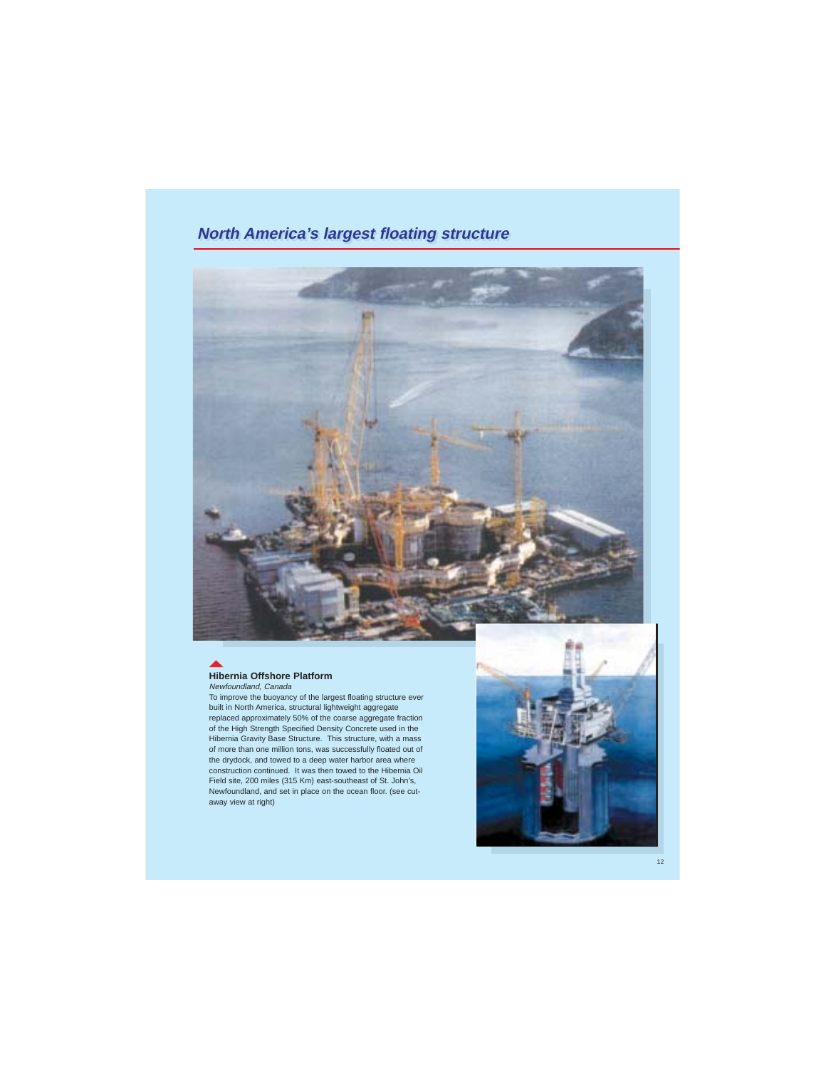## **North America's largest floating structure**



# **Hibernia Offshore Platform**

Newfoundland, Canada

To improve the buoyancy of the largest floating structure ever built in North America, structural lightweight aggregate replaced approximately 50% of the coarse aggregate fraction of the High Strength Specified Density Concrete used in the Hibernia Gravity Base Structure. This structure, with a mass of more than one million tons, was successfully floated out of the drydock, and towed to a deep water harbor area where construction continued. It was then towed to the Hibernia Oil Field site, 200 miles (315 Km) east-southeast of St. John's, Newfoundland, and set in place on the ocean floor. (see cutaway view at right)

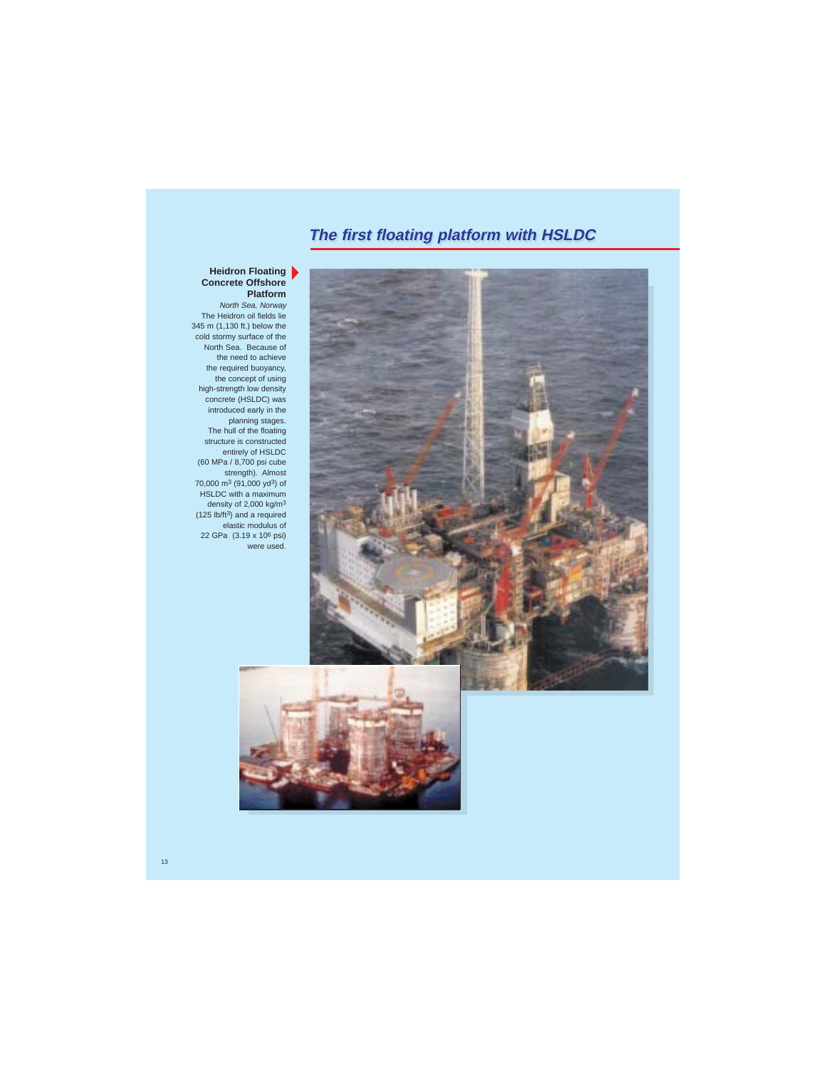# **The first floating platform with HSLDC**



#### **Heidron Floating Concrete Offshore Platform**

North Sea, Norway The Heidron oil fields lie 345 m (1,130 ft.) below the cold stormy surface of the North Sea. Because of the need to achieve the required buoyancy, the concept of using high-strength low density concrete (HSLDC) was introduced early in the planning stages. The hull of the floating structure is constructed entirely of HSLDC (60 MPa / 8,700 psi cube strength). Almost 70,000 m3 (91,000 yd3) of HSLDC with a maximum density of 2,000 kg/m3 (125 lb/ft3) and a required elastic modulus of 22 GPa (3.19 x 106 psi) were used.